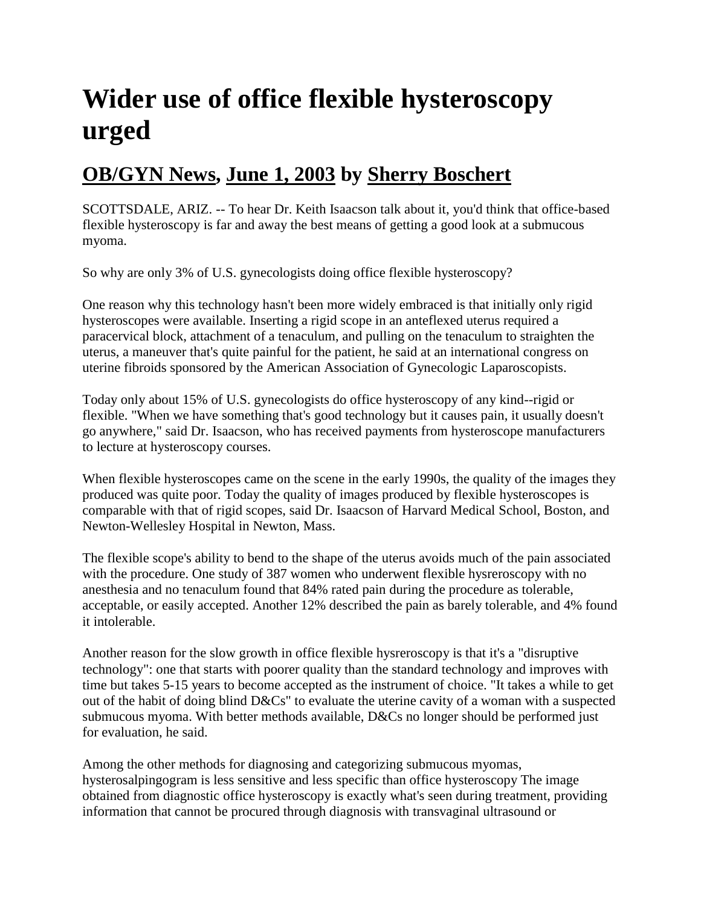## **Wider use of office flexible hysteroscopy urged**

## **[OB/GYN News,](http://findarticles.com/p/articles/mi_m0CYD/) [June 1, 2003](http://findarticles.com/p/articles/mi_m0CYD/is_11_38/) by [Sherry Boschert](http://findarticles.com/p/search/?qa=Sherry%20Boschert)**

SCOTTSDALE, ARIZ. -- To hear Dr. Keith Isaacson talk about it, you'd think that office-based flexible hysteroscopy is far and away the best means of getting a good look at a submucous myoma.

So why are only 3% of U.S. gynecologists doing office flexible hysteroscopy?

One reason why this technology hasn't been more widely embraced is that initially only rigid hysteroscopes were available. Inserting a rigid scope in an anteflexed uterus required a paracervical block, attachment of a tenaculum, and pulling on the tenaculum to straighten the uterus, a maneuver that's quite painful for the patient, he said at an international congress on uterine fibroids sponsored by the American Association of Gynecologic Laparoscopists.

Today only about 15% of U.S. gynecologists do office hysteroscopy of any kind--rigid or flexible. "When we have something that's good technology but it causes pain, it usually doesn't go anywhere," said Dr. Isaacson, who has received payments from hysteroscope manufacturers to lecture at hysteroscopy courses.

When flexible hysteroscopes came on the scene in the early 1990s, the quality of the images they produced was quite poor. Today the quality of images produced by flexible hysteroscopes is comparable with that of rigid scopes, said Dr. Isaacson of Harvard Medical School, Boston, and Newton-Wellesley Hospital in Newton, Mass.

The flexible scope's ability to bend to the shape of the uterus avoids much of the pain associated with the procedure. One study of 387 women who underwent flexible hysreroscopy with no anesthesia and no tenaculum found that 84% rated pain during the procedure as tolerable, acceptable, or easily accepted. Another 12% described the pain as barely tolerable, and 4% found it intolerable.

Another reason for the slow growth in office flexible hysreroscopy is that it's a "disruptive technology": one that starts with poorer quality than the standard technology and improves with time but takes 5-15 years to become accepted as the instrument of choice. "It takes a while to get out of the habit of doing blind D&Cs" to evaluate the uterine cavity of a woman with a suspected submucous myoma. With better methods available, D&Cs no longer should be performed just for evaluation, he said.

Among the other methods for diagnosing and categorizing submucous myomas, hysterosalpingogram is less sensitive and less specific than office hysteroscopy The image obtained from diagnostic office hysteroscopy is exactly what's seen during treatment, providing information that cannot be procured through diagnosis with transvaginal ultrasound or